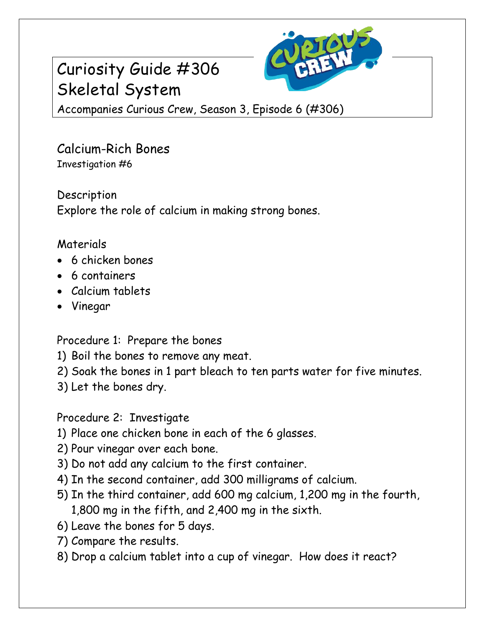## Curiosity Guide #306 Skeletal System



Accompanies Curious Crew, Season 3, Episode 6 (#306)

Calcium-Rich Bones Investigation #6

Description Explore the role of calcium in making strong bones.

## Materials

- 6 chicken bones
- 6 containers
- Calcium tablets
- Vinegar

Procedure 1: Prepare the bones

- 1) Boil the bones to remove any meat.
- 2) Soak the bones in 1 part bleach to ten parts water for five minutes.
- 3) Let the bones dry.

Procedure 2: Investigate

- 1) Place one chicken bone in each of the 6 glasses.
- 2) Pour vinegar over each bone.
- 3) Do not add any calcium to the first container.
- 4) In the second container, add 300 milligrams of calcium.
- 5) In the third container, add 600 mg calcium, 1,200 mg in the fourth, 1,800 mg in the fifth, and 2,400 mg in the sixth.
- 6) Leave the bones for 5 days.
- 7) Compare the results.
- 8) Drop a calcium tablet into a cup of vinegar. How does it react?